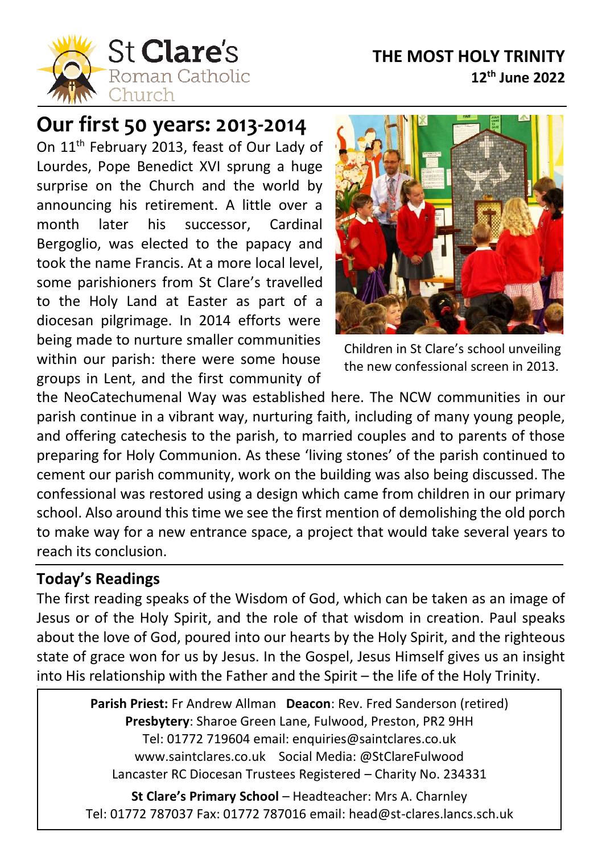### **THE MOST HOLY TRINITY 12th June 2022**



# **Our first 50 years: 2013-2014**

On 11<sup>th</sup> February 2013, feast of Our Lady of Lourdes, Pope Benedict XVI sprung a huge surprise on the Church and the world by announcing his retirement. A little over a month later his successor, Cardinal Bergoglio, was elected to the papacy and took the name Francis. At a more local level, some parishioners from St Clare's travelled to the Holy Land at Easter as part of a diocesan pilgrimage. In 2014 efforts were being made to nurture smaller communities within our parish: there were some house groups in Lent, and the first community of



Children in St Clare's school unveiling the new confessional screen in 2013.

the NeoCatechumenal Way was established here. The NCW communities in our parish continue in a vibrant way, nurturing faith, including of many young people, and offering catechesis to the parish, to married couples and to parents of those preparing for Holy Communion. As these 'living stones' of the parish continued to cement our parish community, work on the building was also being discussed. The confessional was restored using a design which came from children in our primary school. Also around this time we see the first mention of demolishing the old porch to make way for a new entrance space, a project that would take several years to reach its conclusion.

#### **Today's Readings**

l

The first reading speaks of the Wisdom of God, which can be taken as an image of Jesus or of the Holy Spirit, and the role of that wisdom in creation. Paul speaks about the love of God, poured into our hearts by the Holy Spirit, and the righteous state of grace won for us by Jesus. In the Gospel, Jesus Himself gives us an insight into His relationship with the Father and the Spirit – the life of the Holy Trinity.

> **Parish Priest:** Fr Andrew Allman **Deacon**: Rev. Fred Sanderson (retired) **Presbytery**: Sharoe Green Lane, Fulwood, Preston, PR2 9HH Tel: 01772 719604 email: enquiries@saintclares.co.uk www.saintclares.co.uk Social Media: @StClareFulwood Lancaster RC Diocesan Trustees Registered – Charity No. 234331

**St Clare's Primary School** – Headteacher: Mrs A. Charnley Tel: 01772 787037 Fax: 01772 787016 email: head@st-clares.lancs.sch.uk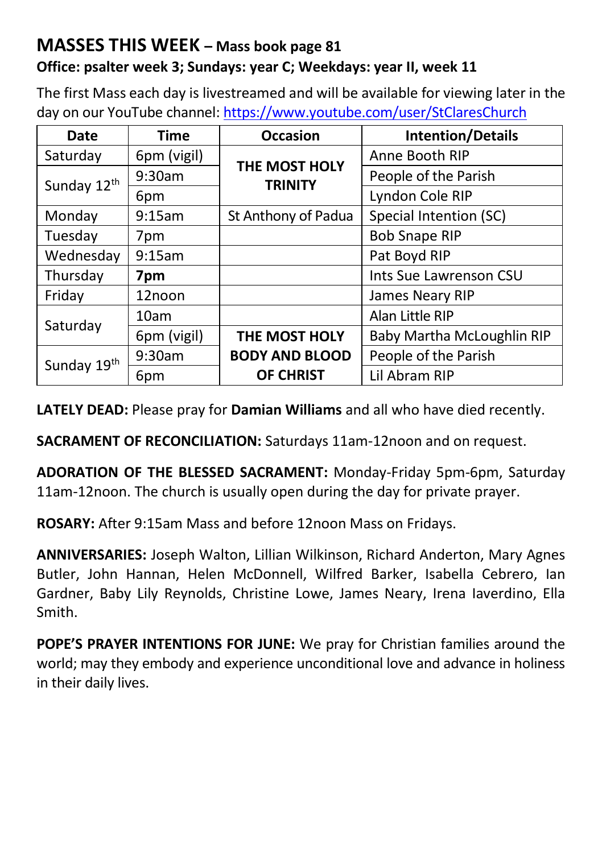# **MASSES THIS WEEK – Mass book page 81**

#### **Office: psalter week 3; Sundays: year C; Weekdays: year II, week 11**

The first Mass each day is livestreamed and will be available for viewing later in the day on our YouTube channel[: https://www.youtube.com/user/StClaresChurch](https://www.youtube.com/user/StClaresChurch)

| Date        | <b>Time</b> | <b>Occasion</b>                             | <b>Intention/Details</b> |  |
|-------------|-------------|---------------------------------------------|--------------------------|--|
| Saturday    | 6pm (vigil) | THE MOST HOLY                               | Anne Booth RIP           |  |
| Sunday 12th | 9:30am      | <b>TRINITY</b>                              | People of the Parish     |  |
|             | 6pm         |                                             | Lyndon Cole RIP          |  |
| Monday      | 9:15am      | St Anthony of Padua                         | Special Intention (SC)   |  |
| Tuesday     | 7pm         |                                             | <b>Bob Snape RIP</b>     |  |
| Wednesday   | 9:15am      |                                             | Pat Boyd RIP             |  |
| Thursday    | 7pm         |                                             | Ints Sue Lawrenson CSU   |  |
| Friday      | 12noon      |                                             | James Neary RIP          |  |
| Saturday    | 10am        |                                             | Alan Little RIP          |  |
|             | 6pm (vigil) | Baby Martha McLoughlin RIP<br>THE MOST HOLY |                          |  |
| Sunday 19th | 9:30am      | <b>BODY AND BLOOD</b>                       | People of the Parish     |  |
|             | 6pm         | <b>OF CHRIST</b>                            | Lil Abram RIP            |  |

**LATELY DEAD:** Please pray for **Damian Williams** and all who have died recently.

**SACRAMENT OF RECONCILIATION:** Saturdays 11am-12noon and on request.

**ADORATION OF THE BLESSED SACRAMENT:** Monday-Friday 5pm-6pm, Saturday 11am-12noon. The church is usually open during the day for private prayer.

**ROSARY:** After 9:15am Mass and before 12noon Mass on Fridays.

**ANNIVERSARIES:** Joseph Walton, Lillian Wilkinson, Richard Anderton, Mary Agnes Butler, John Hannan, Helen McDonnell, Wilfred Barker, Isabella Cebrero, Ian Gardner, Baby Lily Reynolds, Christine Lowe, James Neary, Irena Iaverdino, Ella Smith.

**POPE'S PRAYER INTENTIONS FOR JUNE:** We pray for Christian families around the world; may they embody and experience unconditional love and advance in holiness in their daily lives.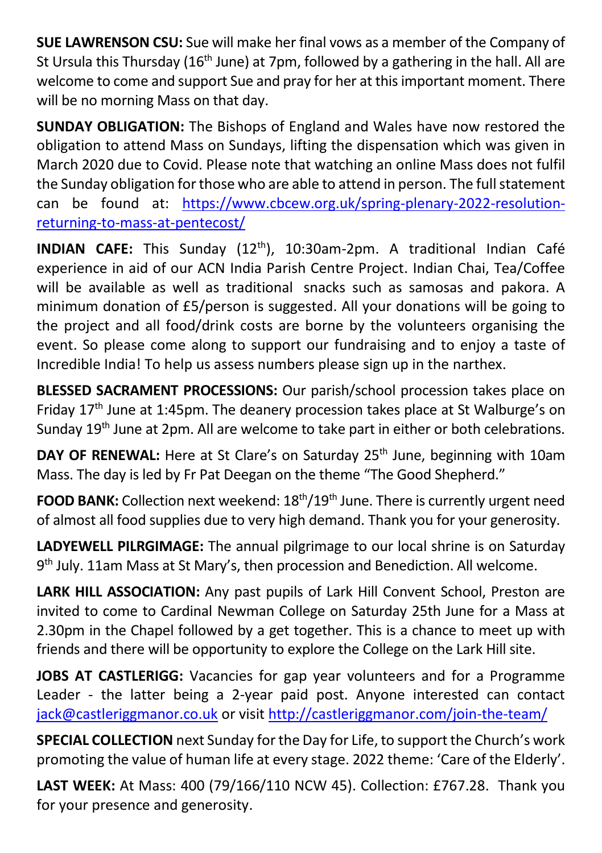**SUE LAWRENSON CSU:** Sue will make her final vows as a member of the Company of St Ursula this Thursday (16<sup>th</sup> June) at 7pm, followed by a gathering in the hall. All are welcome to come and support Sue and pray for her at this important moment. There will be no morning Mass on that day.

**SUNDAY OBLIGATION:** The Bishops of England and Wales have now restored the obligation to attend Mass on Sundays, lifting the dispensation which was given in March 2020 due to Covid. Please note that watching an online Mass does not fulfil the Sunday obligation for those who are able to attend in person. The full statement can be found at: [https://www.cbcew.org.uk/spring-plenary-2022-resolution](https://www.cbcew.org.uk/spring-plenary-2022-resolution-returning-to-mass-at-pentecost/)[returning-to-mass-at-pentecost/](https://www.cbcew.org.uk/spring-plenary-2022-resolution-returning-to-mass-at-pentecost/)

**INDIAN CAFE:** This Sunday (12th), 10:30am-2pm. A traditional Indian Café experience in aid of our ACN India Parish Centre Project. Indian Chai, Tea/Coffee will be available as well as traditional snacks such as samosas and pakora. A minimum donation of £5/person is suggested. All your donations will be going to the project and all food/drink costs are borne by the volunteers organising the event. So please come along to support our fundraising and to enjoy a taste of Incredible India! To help us assess numbers please sign up in the narthex.

**BLESSED SACRAMENT PROCESSIONS:** Our parish/school procession takes place on Friday 17<sup>th</sup> June at 1:45pm. The deanery procession takes place at St Walburge's on Sunday 19<sup>th</sup> June at 2pm. All are welcome to take part in either or both celebrations.

**DAY OF RENEWAL:** Here at St Clare's on Saturday 25<sup>th</sup> June, beginning with 10am Mass. The day is led by Fr Pat Deegan on the theme "The Good Shepherd."

**FOOD BANK:** Collection next weekend:  $18<sup>th</sup>/19<sup>th</sup>$  June. There is currently urgent need of almost all food supplies due to very high demand. Thank you for your generosity.

**LADYEWELL PILRGIMAGE:** The annual pilgrimage to our local shrine is on Saturday 9<sup>th</sup> July. 11am Mass at St Mary's, then procession and Benediction. All welcome.

**LARK HILL ASSOCIATION:** Any past pupils of Lark Hill Convent School, Preston are invited to come to Cardinal Newman College on Saturday 25th June for a Mass at 2.30pm in the Chapel followed by a get together. This is a chance to meet up with friends and there will be opportunity to explore the College on the Lark Hill site.

**JOBS AT CASTLERIGG:** Vacancies for gap year volunteers and for a Programme Leader - the latter being a 2-year paid post. Anyone interested can contact [jack@castleriggmanor.co.uk](mailto:jack@castleriggmanor.co.uk) or visit <http://castleriggmanor.com/join-the-team/>

**SPECIAL COLLECTION** next Sunday for the Day for Life, to support the Church's work promoting the value of human life at every stage. 2022 theme: 'Care of the Elderly'.

**LAST WEEK:** At Mass: 400 (79/166/110 NCW 45). Collection: £767.28. Thank you for your presence and generosity.